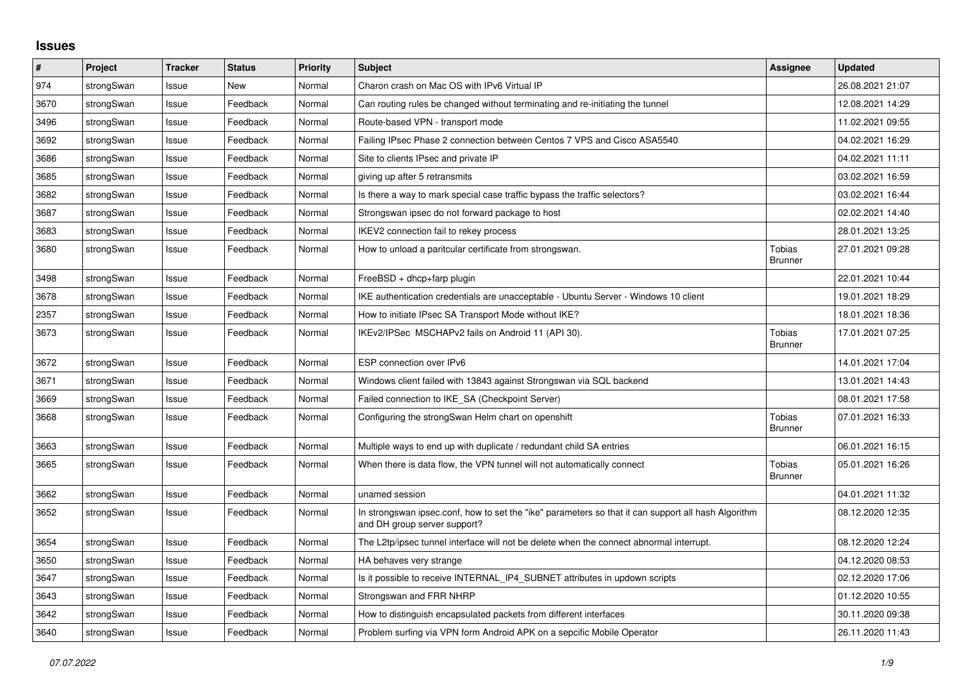## **Issues**

| #    | Project    | <b>Tracker</b> | <b>Status</b> | <b>Priority</b> | <b>Subject</b>                                                                                                                      | <b>Assignee</b>                 | <b>Updated</b>   |
|------|------------|----------------|---------------|-----------------|-------------------------------------------------------------------------------------------------------------------------------------|---------------------------------|------------------|
| 974  | strongSwan | Issue          | <b>New</b>    | Normal          | Charon crash on Mac OS with IPv6 Virtual IP                                                                                         |                                 | 26.08.2021 21:07 |
| 3670 | strongSwan | Issue          | Feedback      | Normal          | Can routing rules be changed without terminating and re-initiating the tunnel                                                       |                                 | 12.08.2021 14:29 |
| 3496 | strongSwan | Issue          | Feedback      | Normal          | Route-based VPN - transport mode                                                                                                    |                                 | 11.02.2021 09:55 |
| 3692 | strongSwan | Issue          | Feedback      | Normal          | Failing IPsec Phase 2 connection between Centos 7 VPS and Cisco ASA5540                                                             |                                 | 04.02.2021 16:29 |
| 3686 | strongSwan | Issue          | Feedback      | Normal          | Site to clients IPsec and private IP                                                                                                |                                 | 04.02.2021 11:11 |
| 3685 | strongSwan | Issue          | Feedback      | Normal          | giving up after 5 retransmits                                                                                                       |                                 | 03.02.2021 16:59 |
| 3682 | strongSwan | Issue          | Feedback      | Normal          | Is there a way to mark special case traffic bypass the traffic selectors?                                                           |                                 | 03.02.2021 16:44 |
| 3687 | strongSwan | Issue          | Feedback      | Normal          | Strongswan ipsec do not forward package to host                                                                                     |                                 | 02.02.2021 14:40 |
| 3683 | strongSwan | Issue          | Feedback      | Normal          | IKEV2 connection fail to rekey process                                                                                              |                                 | 28.01.2021 13:25 |
| 3680 | strongSwan | Issue          | Feedback      | Normal          | How to unload a paritcular certificate from strongswan.                                                                             | Tobias<br><b>Brunner</b>        | 27.01.2021 09:28 |
| 3498 | strongSwan | Issue          | Feedback      | Normal          | $FreeBSD + dhop + farp plugin$                                                                                                      |                                 | 22.01.2021 10:44 |
| 3678 | strongSwan | Issue          | Feedback      | Normal          | IKE authentication credentials are unacceptable - Ubuntu Server - Windows 10 client                                                 |                                 | 19.01.2021 18:29 |
| 2357 | strongSwan | Issue          | Feedback      | Normal          | How to initiate IPsec SA Transport Mode without IKE?                                                                                |                                 | 18.01.2021 18:36 |
| 3673 | strongSwan | Issue          | Feedback      | Normal          | IKEv2/IPSec MSCHAPv2 fails on Android 11 (API 30).                                                                                  | <b>Tobias</b><br><b>Brunner</b> | 17.01.2021 07:25 |
| 3672 | strongSwan | Issue          | Feedback      | Normal          | ESP connection over IPv6                                                                                                            |                                 | 14.01.2021 17:04 |
| 3671 | strongSwan | Issue          | Feedback      | Normal          | Windows client failed with 13843 against Strongswan via SQL backend                                                                 |                                 | 13.01.2021 14:43 |
| 3669 | strongSwan | Issue          | Feedback      | Normal          | Failed connection to IKE SA (Checkpoint Server)                                                                                     |                                 | 08.01.2021 17:58 |
| 3668 | strongSwan | Issue          | Feedback      | Normal          | Configuring the strongSwan Helm chart on openshift                                                                                  | <b>Tobias</b><br><b>Brunner</b> | 07.01.2021 16:33 |
| 3663 | strongSwan | Issue          | Feedback      | Normal          | Multiple ways to end up with duplicate / redundant child SA entries                                                                 |                                 | 06.01.2021 16:15 |
| 3665 | strongSwan | Issue          | Feedback      | Normal          | When there is data flow, the VPN tunnel will not automatically connect                                                              | Tobias<br><b>Brunner</b>        | 05.01.2021 16:26 |
| 3662 | strongSwan | Issue          | Feedback      | Normal          | unamed session                                                                                                                      |                                 | 04.01.2021 11:32 |
| 3652 | strongSwan | Issue          | Feedback      | Normal          | In strongswan ipsec.conf, how to set the "ike" parameters so that it can support all hash Algorithm<br>and DH group server support? |                                 | 08.12.2020 12:35 |
| 3654 | strongSwan | Issue          | Feedback      | Normal          | The L2tp/ipsec tunnel interface will not be delete when the connect abnormal interrupt.                                             |                                 | 08.12.2020 12:24 |
| 3650 | strongSwan | Issue          | Feedback      | Normal          | HA behaves very strange                                                                                                             |                                 | 04.12.2020 08:53 |
| 3647 | strongSwan | Issue          | Feedback      | Normal          | Is it possible to receive INTERNAL_IP4_SUBNET attributes in updown scripts                                                          |                                 | 02.12.2020 17:06 |
| 3643 | strongSwan | Issue          | Feedback      | Normal          | Strongswan and FRR NHRP                                                                                                             |                                 | 01.12.2020 10:55 |
| 3642 | strongSwan | Issue          | Feedback      | Normal          | How to distinguish encapsulated packets from different interfaces                                                                   |                                 | 30.11.2020 09:38 |
| 3640 | strongSwan | Issue          | Feedback      | Normal          | Problem surfing via VPN form Android APK on a sepcific Mobile Operator                                                              |                                 | 26.11.2020 11:43 |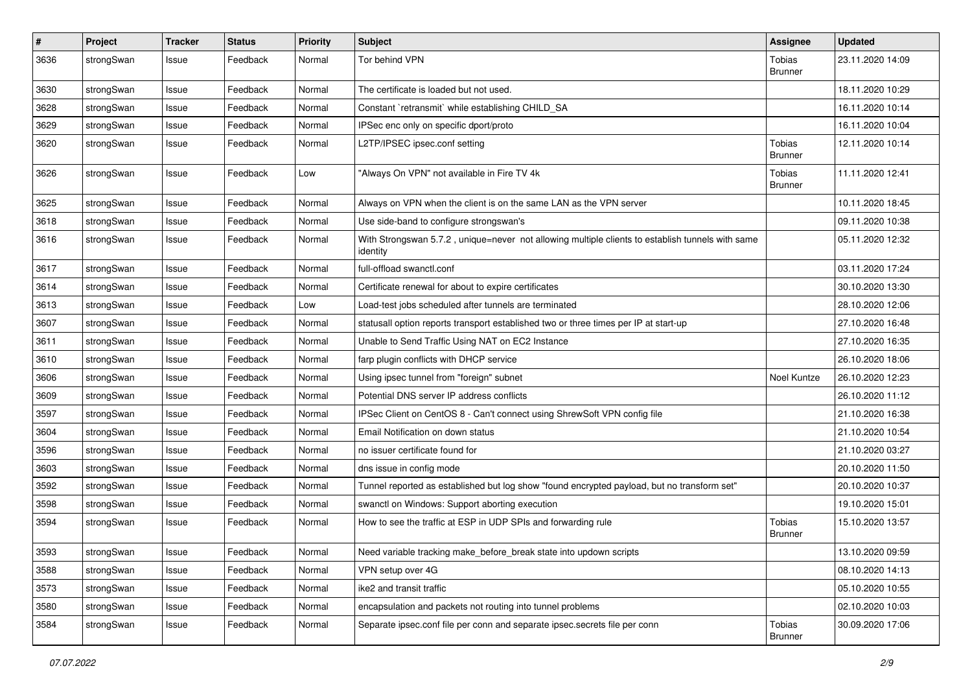| $\pmb{\#}$ | Project    | <b>Tracker</b> | <b>Status</b> | <b>Priority</b> | <b>Subject</b>                                                                                               | <b>Assignee</b>                 | <b>Updated</b>   |
|------------|------------|----------------|---------------|-----------------|--------------------------------------------------------------------------------------------------------------|---------------------------------|------------------|
| 3636       | strongSwan | Issue          | Feedback      | Normal          | Tor behind VPN                                                                                               | Tobias<br><b>Brunner</b>        | 23.11.2020 14:09 |
| 3630       | strongSwan | Issue          | Feedback      | Normal          | The certificate is loaded but not used.                                                                      |                                 | 18.11.2020 10:29 |
| 3628       | strongSwan | Issue          | Feedback      | Normal          | Constant `retransmit` while establishing CHILD SA                                                            |                                 | 16.11.2020 10:14 |
| 3629       | strongSwan | Issue          | Feedback      | Normal          | IPSec enc only on specific dport/proto                                                                       |                                 | 16.11.2020 10:04 |
| 3620       | strongSwan | Issue          | Feedback      | Normal          | L2TP/IPSEC ipsec.conf setting                                                                                | <b>Tobias</b><br><b>Brunner</b> | 12.11.2020 10:14 |
| 3626       | strongSwan | Issue          | Feedback      | Low             | "Always On VPN" not available in Fire TV 4k                                                                  | <b>Tobias</b><br><b>Brunner</b> | 11.11.2020 12:41 |
| 3625       | strongSwan | Issue          | Feedback      | Normal          | Always on VPN when the client is on the same LAN as the VPN server                                           |                                 | 10.11.2020 18:45 |
| 3618       | strongSwan | Issue          | Feedback      | Normal          | Use side-band to configure strongswan's                                                                      |                                 | 09.11.2020 10:38 |
| 3616       | strongSwan | Issue          | Feedback      | Normal          | With Strongswan 5.7.2, unique=never not allowing multiple clients to establish tunnels with same<br>identity |                                 | 05.11.2020 12:32 |
| 3617       | strongSwan | Issue          | Feedback      | Normal          | full-offload swanctl.conf                                                                                    |                                 | 03.11.2020 17:24 |
| 3614       | strongSwan | Issue          | Feedback      | Normal          | Certificate renewal for about to expire certificates                                                         |                                 | 30.10.2020 13:30 |
| 3613       | strongSwan | Issue          | Feedback      | Low             | Load-test jobs scheduled after tunnels are terminated                                                        |                                 | 28.10.2020 12:06 |
| 3607       | strongSwan | Issue          | Feedback      | Normal          | statusall option reports transport established two or three times per IP at start-up                         |                                 | 27.10.2020 16:48 |
| 3611       | strongSwan | Issue          | Feedback      | Normal          | Unable to Send Traffic Using NAT on EC2 Instance                                                             |                                 | 27.10.2020 16:35 |
| 3610       | strongSwan | Issue          | Feedback      | Normal          | farp plugin conflicts with DHCP service                                                                      |                                 | 26.10.2020 18:06 |
| 3606       | strongSwan | Issue          | Feedback      | Normal          | Using ipsec tunnel from "foreign" subnet                                                                     | Noel Kuntze                     | 26.10.2020 12:23 |
| 3609       | strongSwan | Issue          | Feedback      | Normal          | Potential DNS server IP address conflicts                                                                    |                                 | 26.10.2020 11:12 |
| 3597       | strongSwan | Issue          | Feedback      | Normal          | IPSec Client on CentOS 8 - Can't connect using ShrewSoft VPN config file                                     |                                 | 21.10.2020 16:38 |
| 3604       | strongSwan | Issue          | Feedback      | Normal          | Email Notification on down status                                                                            |                                 | 21.10.2020 10:54 |
| 3596       | strongSwan | Issue          | Feedback      | Normal          | no issuer certificate found for                                                                              |                                 | 21.10.2020 03:27 |
| 3603       | strongSwan | Issue          | Feedback      | Normal          | dns issue in config mode                                                                                     |                                 | 20.10.2020 11:50 |
| 3592       | strongSwan | Issue          | Feedback      | Normal          | Tunnel reported as established but log show "found encrypted payload, but no transform set"                  |                                 | 20.10.2020 10:37 |
| 3598       | strongSwan | Issue          | Feedback      | Normal          | swanctl on Windows: Support aborting execution                                                               |                                 | 19.10.2020 15:01 |
| 3594       | strongSwan | Issue          | Feedback      | Normal          | How to see the traffic at ESP in UDP SPIs and forwarding rule                                                | Tobias<br>Brunner               | 15.10.2020 13:57 |
| 3593       | strongSwan | Issue          | Feedback      | Normal          | Need variable tracking make_before_break state into updown scripts                                           |                                 | 13.10.2020 09:59 |
| 3588       | strongSwan | Issue          | Feedback      | Normal          | VPN setup over 4G                                                                                            |                                 | 08.10.2020 14:13 |
| 3573       | strongSwan | Issue          | Feedback      | Normal          | ike2 and transit traffic                                                                                     |                                 | 05.10.2020 10:55 |
| 3580       | strongSwan | Issue          | Feedback      | Normal          | encapsulation and packets not routing into tunnel problems                                                   |                                 | 02.10.2020 10:03 |
| 3584       | strongSwan | Issue          | Feedback      | Normal          | Separate ipsec.conf file per conn and separate ipsec.secrets file per conn                                   | Tobias<br><b>Brunner</b>        | 30.09.2020 17:06 |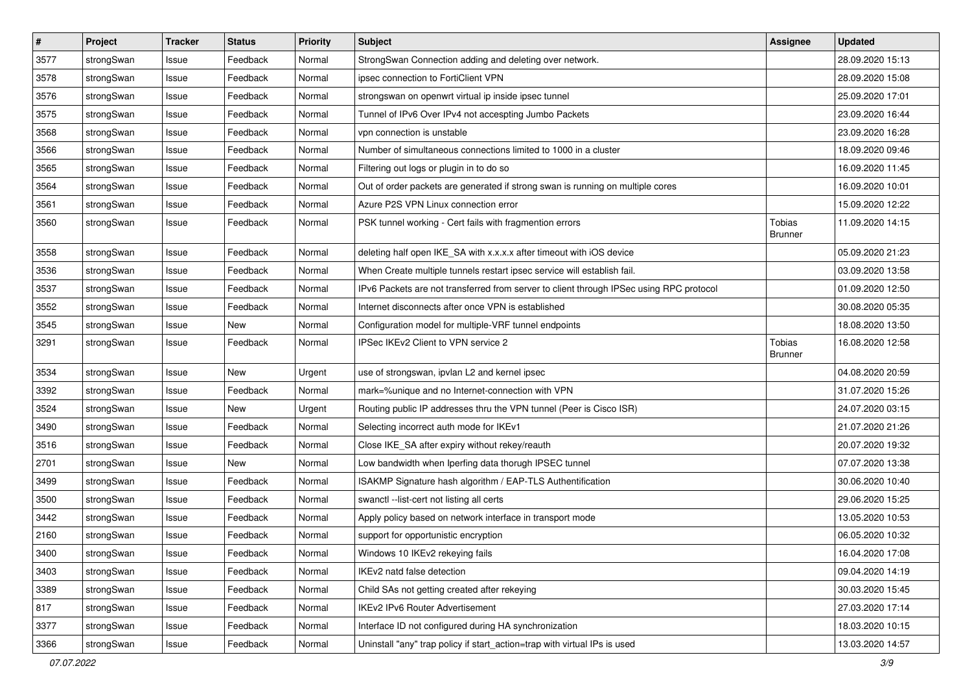| $\pmb{\#}$ | Project    | <b>Tracker</b> | <b>Status</b> | <b>Priority</b> | <b>Subject</b>                                                                          | Assignee                        | <b>Updated</b>   |
|------------|------------|----------------|---------------|-----------------|-----------------------------------------------------------------------------------------|---------------------------------|------------------|
| 3577       | strongSwan | Issue          | Feedback      | Normal          | StrongSwan Connection adding and deleting over network.                                 |                                 | 28.09.2020 15:13 |
| 3578       | strongSwan | Issue          | Feedback      | Normal          | ipsec connection to FortiClient VPN                                                     |                                 | 28.09.2020 15:08 |
| 3576       | strongSwan | Issue          | Feedback      | Normal          | strongswan on openwrt virtual ip inside ipsec tunnel                                    |                                 | 25.09.2020 17:01 |
| 3575       | strongSwan | Issue          | Feedback      | Normal          | Tunnel of IPv6 Over IPv4 not accespting Jumbo Packets                                   |                                 | 23.09.2020 16:44 |
| 3568       | strongSwan | Issue          | Feedback      | Normal          | vpn connection is unstable                                                              |                                 | 23.09.2020 16:28 |
| 3566       | strongSwan | Issue          | Feedback      | Normal          | Number of simultaneous connections limited to 1000 in a cluster                         |                                 | 18.09.2020 09:46 |
| 3565       | strongSwan | Issue          | Feedback      | Normal          | Filtering out logs or plugin in to do so                                                |                                 | 16.09.2020 11:45 |
| 3564       | strongSwan | Issue          | Feedback      | Normal          | Out of order packets are generated if strong swan is running on multiple cores          |                                 | 16.09.2020 10:01 |
| 3561       | strongSwan | Issue          | Feedback      | Normal          | Azure P2S VPN Linux connection error                                                    |                                 | 15.09.2020 12:22 |
| 3560       | strongSwan | Issue          | Feedback      | Normal          | PSK tunnel working - Cert fails with fragmention errors                                 | <b>Tobias</b><br><b>Brunner</b> | 11.09.2020 14:15 |
| 3558       | strongSwan | Issue          | Feedback      | Normal          | deleting half open IKE_SA with x.x.x.x after timeout with iOS device                    |                                 | 05.09.2020 21:23 |
| 3536       | strongSwan | Issue          | Feedback      | Normal          | When Create multiple tunnels restart ipsec service will establish fail.                 |                                 | 03.09.2020 13:58 |
| 3537       | strongSwan | Issue          | Feedback      | Normal          | IPv6 Packets are not transferred from server to client through IPSec using RPC protocol |                                 | 01.09.2020 12:50 |
| 3552       | strongSwan | Issue          | Feedback      | Normal          | Internet disconnects after once VPN is established                                      |                                 | 30.08.2020 05:35 |
| 3545       | strongSwan | Issue          | New           | Normal          | Configuration model for multiple-VRF tunnel endpoints                                   |                                 | 18.08.2020 13:50 |
| 3291       | strongSwan | Issue          | Feedback      | Normal          | IPSec IKEv2 Client to VPN service 2                                                     | Tobias<br><b>Brunner</b>        | 16.08.2020 12:58 |
| 3534       | strongSwan | Issue          | New           | Urgent          | use of strongswan, ipvlan L2 and kernel ipsec                                           |                                 | 04.08.2020 20:59 |
| 3392       | strongSwan | Issue          | Feedback      | Normal          | mark=%unique and no Internet-connection with VPN                                        |                                 | 31.07.2020 15:26 |
| 3524       | strongSwan | Issue          | <b>New</b>    | Urgent          | Routing public IP addresses thru the VPN tunnel (Peer is Cisco ISR)                     |                                 | 24.07.2020 03:15 |
| 3490       | strongSwan | Issue          | Feedback      | Normal          | Selecting incorrect auth mode for IKEv1                                                 |                                 | 21.07.2020 21:26 |
| 3516       | strongSwan | Issue          | Feedback      | Normal          | Close IKE_SA after expiry without rekey/reauth                                          |                                 | 20.07.2020 19:32 |
| 2701       | strongSwan | Issue          | New           | Normal          | Low bandwidth when Iperfing data thorugh IPSEC tunnel                                   |                                 | 07.07.2020 13:38 |
| 3499       | strongSwan | Issue          | Feedback      | Normal          | ISAKMP Signature hash algorithm / EAP-TLS Authentification                              |                                 | 30.06.2020 10:40 |
| 3500       | strongSwan | Issue          | Feedback      | Normal          | swanctl --list-cert not listing all certs                                               |                                 | 29.06.2020 15:25 |
| 3442       | strongSwan | Issue          | Feedback      | Normal          | Apply policy based on network interface in transport mode                               |                                 | 13.05.2020 10:53 |
| 2160       | strongSwan | Issue          | Feedback      | Normal          | support for opportunistic encryption                                                    |                                 | 06.05.2020 10:32 |
| 3400       | strongSwan | Issue          | Feedback      | Normal          | Windows 10 IKEv2 rekeying fails                                                         |                                 | 16.04.2020 17:08 |
| 3403       | strongSwan | Issue          | Feedback      | Normal          | IKEv2 natd false detection                                                              |                                 | 09.04.2020 14:19 |
| 3389       | strongSwan | Issue          | Feedback      | Normal          | Child SAs not getting created after rekeying                                            |                                 | 30.03.2020 15:45 |
| 817        | strongSwan | Issue          | Feedback      | Normal          | IKEv2 IPv6 Router Advertisement                                                         |                                 | 27.03.2020 17:14 |
| 3377       | strongSwan | Issue          | Feedback      | Normal          | Interface ID not configured during HA synchronization                                   |                                 | 18.03.2020 10:15 |
| 3366       | strongSwan | Issue          | Feedback      | Normal          | Uninstall "any" trap policy if start_action=trap with virtual IPs is used               |                                 | 13.03.2020 14:57 |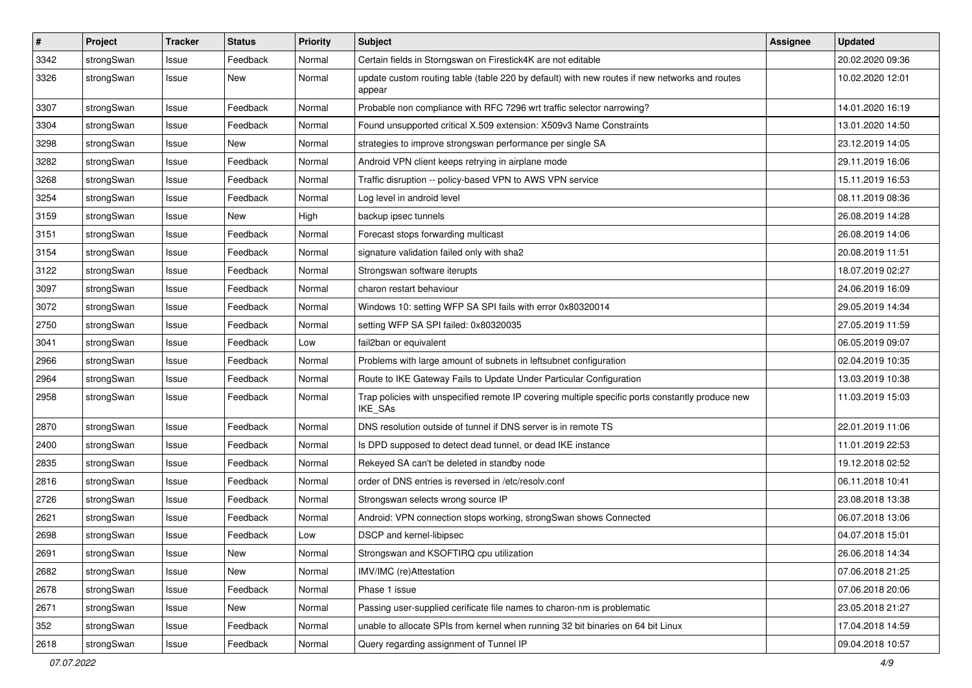| $\pmb{\#}$ | Project    | <b>Tracker</b> | <b>Status</b> | <b>Priority</b> | <b>Subject</b>                                                                                              | Assignee | <b>Updated</b>   |
|------------|------------|----------------|---------------|-----------------|-------------------------------------------------------------------------------------------------------------|----------|------------------|
| 3342       | strongSwan | Issue          | Feedback      | Normal          | Certain fields in Storngswan on Firestick4K are not editable                                                |          | 20.02.2020 09:36 |
| 3326       | strongSwan | Issue          | New           | Normal          | update custom routing table (table 220 by default) with new routes if new networks and routes<br>appear     |          | 10.02.2020 12:01 |
| 3307       | strongSwan | Issue          | Feedback      | Normal          | Probable non compliance with RFC 7296 wrt traffic selector narrowing?                                       |          | 14.01.2020 16:19 |
| 3304       | strongSwan | Issue          | Feedback      | Normal          | Found unsupported critical X.509 extension: X509v3 Name Constraints                                         |          | 13.01.2020 14:50 |
| 3298       | strongSwan | Issue          | New           | Normal          | strategies to improve strongswan performance per single SA                                                  |          | 23.12.2019 14:05 |
| 3282       | strongSwan | Issue          | Feedback      | Normal          | Android VPN client keeps retrying in airplane mode                                                          |          | 29.11.2019 16:06 |
| 3268       | strongSwan | Issue          | Feedback      | Normal          | Traffic disruption -- policy-based VPN to AWS VPN service                                                   |          | 15.11.2019 16:53 |
| 3254       | strongSwan | lssue          | Feedback      | Normal          | Log level in android level                                                                                  |          | 08.11.2019 08:36 |
| 3159       | strongSwan | Issue          | <b>New</b>    | High            | backup ipsec tunnels                                                                                        |          | 26.08.2019 14:28 |
| 3151       | strongSwan | Issue          | Feedback      | Normal          | Forecast stops forwarding multicast                                                                         |          | 26.08.2019 14:06 |
| 3154       | strongSwan | Issue          | Feedback      | Normal          | signature validation failed only with sha2                                                                  |          | 20.08.2019 11:51 |
| 3122       | strongSwan | Issue          | Feedback      | Normal          | Strongswan software iterupts                                                                                |          | 18.07.2019 02:27 |
| 3097       | strongSwan | Issue          | Feedback      | Normal          | charon restart behaviour                                                                                    |          | 24.06.2019 16:09 |
| 3072       | strongSwan | Issue          | Feedback      | Normal          | Windows 10: setting WFP SA SPI fails with error 0x80320014                                                  |          | 29.05.2019 14:34 |
| 2750       | strongSwan | Issue          | Feedback      | Normal          | setting WFP SA SPI failed: 0x80320035                                                                       |          | 27.05.2019 11:59 |
| 3041       | strongSwan | Issue          | Feedback      | Low             | fail2ban or equivalent                                                                                      |          | 06.05.2019 09:07 |
| 2966       | strongSwan | lssue          | Feedback      | Normal          | Problems with large amount of subnets in leftsubnet configuration                                           |          | 02.04.2019 10:35 |
| 2964       | strongSwan | Issue          | Feedback      | Normal          | Route to IKE Gateway Fails to Update Under Particular Configuration                                         |          | 13.03.2019 10:38 |
| 2958       | strongSwan | Issue          | Feedback      | Normal          | Trap policies with unspecified remote IP covering multiple specific ports constantly produce new<br>IKE_SAs |          | 11.03.2019 15:03 |
| 2870       | strongSwan | lssue          | Feedback      | Normal          | DNS resolution outside of tunnel if DNS server is in remote TS                                              |          | 22.01.2019 11:06 |
| 2400       | strongSwan | Issue          | Feedback      | Normal          | Is DPD supposed to detect dead tunnel, or dead IKE instance                                                 |          | 11.01.2019 22:53 |
| 2835       | strongSwan | Issue          | Feedback      | Normal          | Rekeyed SA can't be deleted in standby node                                                                 |          | 19.12.2018 02:52 |
| 2816       | strongSwan | Issue          | Feedback      | Normal          | order of DNS entries is reversed in /etc/resolv.conf                                                        |          | 06.11.2018 10:41 |
| 2726       | strongSwan | lssue          | Feedback      | Normal          | Strongswan selects wrong source IP                                                                          |          | 23.08.2018 13:38 |
| 2621       | strongSwan | Issue          | Feedback      | Normal          | Android: VPN connection stops working, strongSwan shows Connected                                           |          | 06.07.2018 13:06 |
| 2698       | strongSwan | Issue          | Feedback      | Low             | DSCP and kernel-libipsec                                                                                    |          | 04.07.2018 15:01 |
| 2691       | strongSwan | Issue          | New           | Normal          | Strongswan and KSOFTIRQ cpu utilization                                                                     |          | 26.06.2018 14:34 |
| 2682       | strongSwan | Issue          | New           | Normal          | IMV/IMC (re)Attestation                                                                                     |          | 07.06.2018 21:25 |
| 2678       | strongSwan | Issue          | Feedback      | Normal          | Phase 1 issue                                                                                               |          | 07.06.2018 20:06 |
| 2671       | strongSwan | Issue          | New           | Normal          | Passing user-supplied cerificate file names to charon-nm is problematic                                     |          | 23.05.2018 21:27 |
| 352        | strongSwan | Issue          | Feedback      | Normal          | unable to allocate SPIs from kernel when running 32 bit binaries on 64 bit Linux                            |          | 17.04.2018 14:59 |
| 2618       | strongSwan | Issue          | Feedback      | Normal          | Query regarding assignment of Tunnel IP                                                                     |          | 09.04.2018 10:57 |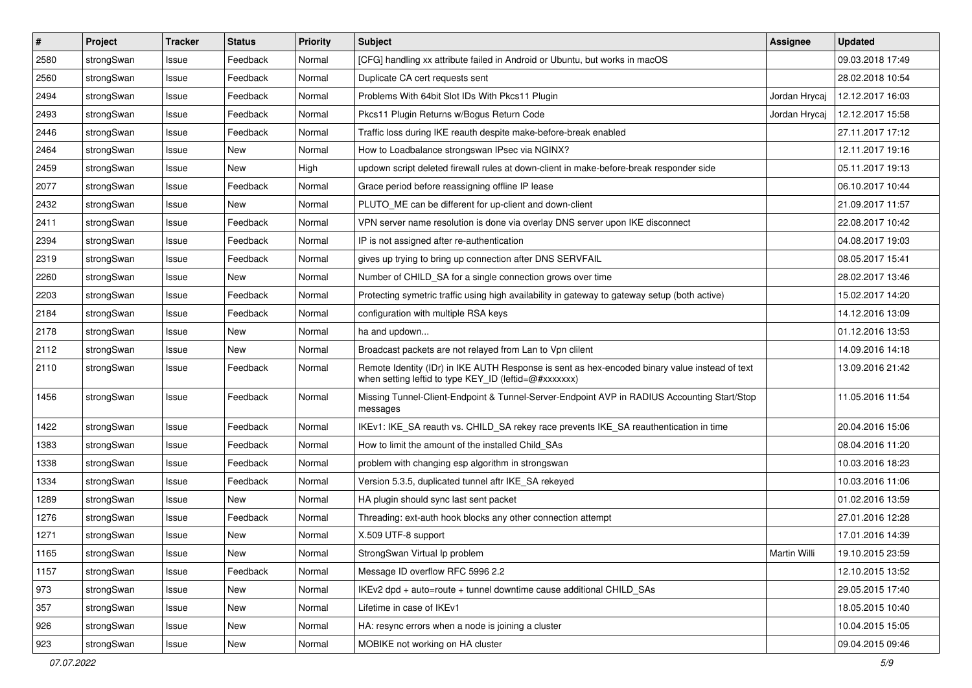| #    | Project    | <b>Tracker</b> | <b>Status</b> | <b>Priority</b> | <b>Subject</b>                                                                                                                                          | Assignee      | <b>Updated</b>   |
|------|------------|----------------|---------------|-----------------|---------------------------------------------------------------------------------------------------------------------------------------------------------|---------------|------------------|
| 2580 | strongSwan | Issue          | Feedback      | Normal          | [CFG] handling xx attribute failed in Android or Ubuntu, but works in macOS                                                                             |               | 09.03.2018 17:49 |
| 2560 | strongSwan | Issue          | Feedback      | Normal          | Duplicate CA cert requests sent                                                                                                                         |               | 28.02.2018 10:54 |
| 2494 | strongSwan | Issue          | Feedback      | Normal          | Problems With 64bit Slot IDs With Pkcs11 Plugin                                                                                                         | Jordan Hrycaj | 12.12.2017 16:03 |
| 2493 | strongSwan | Issue          | Feedback      | Normal          | Pkcs11 Plugin Returns w/Bogus Return Code                                                                                                               | Jordan Hrycaj | 12.12.2017 15:58 |
| 2446 | strongSwan | Issue          | Feedback      | Normal          | Traffic loss during IKE reauth despite make-before-break enabled                                                                                        |               | 27.11.2017 17:12 |
| 2464 | strongSwan | Issue          | <b>New</b>    | Normal          | How to Loadbalance strongswan IPsec via NGINX?                                                                                                          |               | 12.11.2017 19:16 |
| 2459 | strongSwan | Issue          | New           | High            | updown script deleted firewall rules at down-client in make-before-break responder side                                                                 |               | 05.11.2017 19:13 |
| 2077 | strongSwan | Issue          | Feedback      | Normal          | Grace period before reassigning offline IP lease                                                                                                        |               | 06.10.2017 10:44 |
| 2432 | strongSwan | Issue          | <b>New</b>    | Normal          | PLUTO_ME can be different for up-client and down-client                                                                                                 |               | 21.09.2017 11:57 |
| 2411 | strongSwan | Issue          | Feedback      | Normal          | VPN server name resolution is done via overlay DNS server upon IKE disconnect                                                                           |               | 22.08.2017 10:42 |
| 2394 | strongSwan | Issue          | Feedback      | Normal          | IP is not assigned after re-authentication                                                                                                              |               | 04.08.2017 19:03 |
| 2319 | strongSwan | Issue          | Feedback      | Normal          | gives up trying to bring up connection after DNS SERVFAIL                                                                                               |               | 08.05.2017 15:41 |
| 2260 | strongSwan | Issue          | <b>New</b>    | Normal          | Number of CHILD_SA for a single connection grows over time                                                                                              |               | 28.02.2017 13:46 |
| 2203 | strongSwan | Issue          | Feedback      | Normal          | Protecting symetric traffic using high availability in gateway to gateway setup (both active)                                                           |               | 15.02.2017 14:20 |
| 2184 | strongSwan | Issue          | Feedback      | Normal          | configuration with multiple RSA keys                                                                                                                    |               | 14.12.2016 13:09 |
| 2178 | strongSwan | Issue          | New           | Normal          | ha and updown                                                                                                                                           |               | 01.12.2016 13:53 |
| 2112 | strongSwan | Issue          | New           | Normal          | Broadcast packets are not relayed from Lan to Vpn clilent                                                                                               |               | 14.09.2016 14:18 |
| 2110 | strongSwan | Issue          | Feedback      | Normal          | Remote Identity (IDr) in IKE AUTH Response is sent as hex-encoded binary value instead of text<br>when setting leftid to type KEY_ID (leftid=@#xxxxxxx) |               | 13.09.2016 21:42 |
| 1456 | strongSwan | Issue          | Feedback      | Normal          | Missing Tunnel-Client-Endpoint & Tunnel-Server-Endpoint AVP in RADIUS Accounting Start/Stop<br>messages                                                 |               | 11.05.2016 11:54 |
| 1422 | strongSwan | Issue          | Feedback      | Normal          | IKEv1: IKE_SA reauth vs. CHILD_SA rekey race prevents IKE_SA reauthentication in time                                                                   |               | 20.04.2016 15:06 |
| 1383 | strongSwan | Issue          | Feedback      | Normal          | How to limit the amount of the installed Child SAs                                                                                                      |               | 08.04.2016 11:20 |
| 1338 | strongSwan | Issue          | Feedback      | Normal          | problem with changing esp algorithm in strongswan                                                                                                       |               | 10.03.2016 18:23 |
| 1334 | strongSwan | Issue          | Feedback      | Normal          | Version 5.3.5, duplicated tunnel aftr IKE_SA rekeyed                                                                                                    |               | 10.03.2016 11:06 |
| 1289 | strongSwan | Issue          | New           | Normal          | HA plugin should sync last sent packet                                                                                                                  |               | 01.02.2016 13:59 |
| 1276 | strongSwan | Issue          | Feedback      | Normal          | Threading: ext-auth hook blocks any other connection attempt                                                                                            |               | 27.01.2016 12:28 |
| 1271 | strongSwan | Issue          | New           | Normal          | X.509 UTF-8 support                                                                                                                                     |               | 17.01.2016 14:39 |
| 1165 | strongSwan | Issue          | New           | Normal          | StrongSwan Virtual Ip problem                                                                                                                           | Martin Willi  | 19.10.2015 23:59 |
| 1157 | strongSwan | Issue          | Feedback      | Normal          | Message ID overflow RFC 5996 2.2                                                                                                                        |               | 12.10.2015 13:52 |
| 973  | strongSwan | Issue          | <b>New</b>    | Normal          | IKEv2 dpd + auto=route + tunnel downtime cause additional CHILD_SAs                                                                                     |               | 29.05.2015 17:40 |
| 357  | strongSwan | Issue          | New           | Normal          | Lifetime in case of IKEv1                                                                                                                               |               | 18.05.2015 10:40 |
| 926  | strongSwan | Issue          | New           | Normal          | HA: resync errors when a node is joining a cluster                                                                                                      |               | 10.04.2015 15:05 |
| 923  | strongSwan | Issue          | New           | Normal          | MOBIKE not working on HA cluster                                                                                                                        |               | 09.04.2015 09:46 |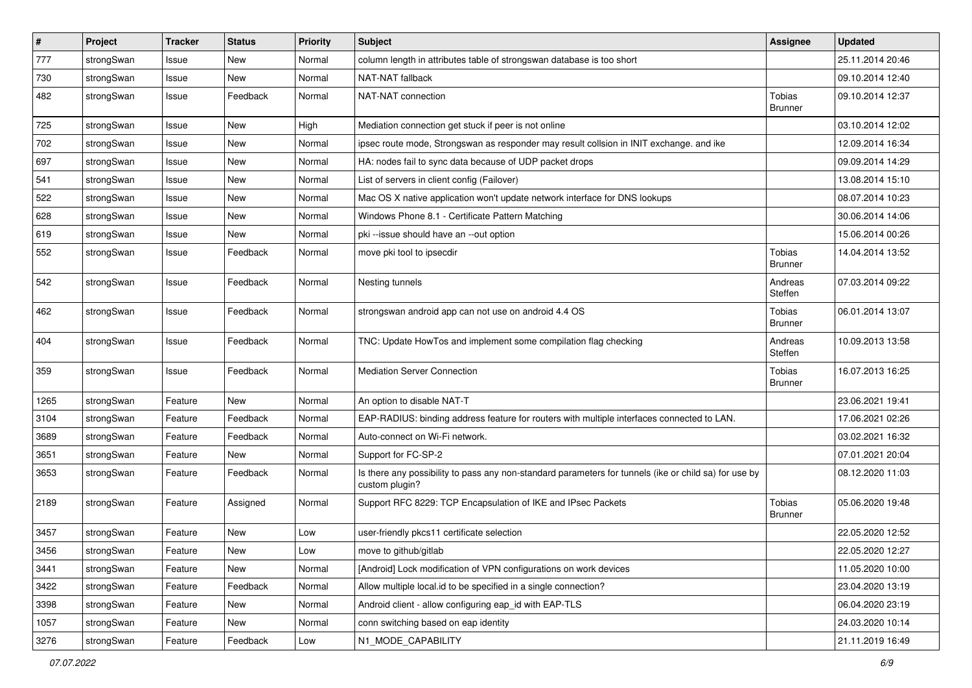| $\sharp$ | Project    | <b>Tracker</b> | <b>Status</b> | <b>Priority</b> | <b>Subject</b>                                                                                                          | <b>Assignee</b>          | <b>Updated</b>   |
|----------|------------|----------------|---------------|-----------------|-------------------------------------------------------------------------------------------------------------------------|--------------------------|------------------|
| 777      | strongSwan | Issue          | New           | Normal          | column length in attributes table of strongswan database is too short                                                   |                          | 25.11.2014 20:46 |
| 730      | strongSwan | Issue          | New           | Normal          | NAT-NAT fallback                                                                                                        |                          | 09.10.2014 12:40 |
| 482      | strongSwan | Issue          | Feedback      | Normal          | NAT-NAT connection                                                                                                      | Tobias<br><b>Brunner</b> | 09.10.2014 12:37 |
| 725      | strongSwan | Issue          | New           | High            | Mediation connection get stuck if peer is not online                                                                    |                          | 03.10.2014 12:02 |
| 702      | strongSwan | Issue          | New           | Normal          | ipsec route mode, Strongswan as responder may result collsion in INIT exchange. and ike                                 |                          | 12.09.2014 16:34 |
| 697      | strongSwan | Issue          | New           | Normal          | HA: nodes fail to sync data because of UDP packet drops                                                                 |                          | 09.09.2014 14:29 |
| 541      | strongSwan | Issue          | <b>New</b>    | Normal          | List of servers in client config (Failover)                                                                             |                          | 13.08.2014 15:10 |
| 522      | strongSwan | Issue          | New           | Normal          | Mac OS X native application won't update network interface for DNS lookups                                              |                          | 08.07.2014 10:23 |
| 628      | strongSwan | Issue          | New           | Normal          | Windows Phone 8.1 - Certificate Pattern Matching                                                                        |                          | 30.06.2014 14:06 |
| 619      | strongSwan | Issue          | New           | Normal          | pki --issue should have an --out option                                                                                 |                          | 15.06.2014 00:26 |
| 552      | strongSwan | Issue          | Feedback      | Normal          | move pki tool to ipsecdir                                                                                               | Tobias<br><b>Brunner</b> | 14.04.2014 13:52 |
| 542      | strongSwan | Issue          | Feedback      | Normal          | Nesting tunnels                                                                                                         | Andreas<br>Steffen       | 07.03.2014 09:22 |
| 462      | strongSwan | Issue          | Feedback      | Normal          | strongswan android app can not use on android 4.4 OS                                                                    | Tobias<br><b>Brunner</b> | 06.01.2014 13:07 |
| 404      | strongSwan | Issue          | Feedback      | Normal          | TNC: Update HowTos and implement some compilation flag checking                                                         | Andreas<br>Steffen       | 10.09.2013 13:58 |
| 359      | strongSwan | Issue          | Feedback      | Normal          | <b>Mediation Server Connection</b>                                                                                      | Tobias<br><b>Brunner</b> | 16.07.2013 16:25 |
| 1265     | strongSwan | Feature        | New           | Normal          | An option to disable NAT-T                                                                                              |                          | 23.06.2021 19:41 |
| 3104     | strongSwan | Feature        | Feedback      | Normal          | EAP-RADIUS: binding address feature for routers with multiple interfaces connected to LAN.                              |                          | 17.06.2021 02:26 |
| 3689     | strongSwan | Feature        | Feedback      | Normal          | Auto-connect on Wi-Fi network.                                                                                          |                          | 03.02.2021 16:32 |
| 3651     | strongSwan | Feature        | New           | Normal          | Support for FC-SP-2                                                                                                     |                          | 07.01.2021 20:04 |
| 3653     | strongSwan | Feature        | Feedback      | Normal          | Is there any possibility to pass any non-standard parameters for tunnels (ike or child sa) for use by<br>custom plugin? |                          | 08.12.2020 11:03 |
| 2189     | strongSwan | Feature        | Assigned      | Normal          | Support RFC 8229: TCP Encapsulation of IKE and IPsec Packets                                                            | Tobias<br><b>Brunner</b> | 05.06.2020 19:48 |
| 3457     | strongSwan | Feature        | New           | Low             | user-friendly pkcs11 certificate selection                                                                              |                          | 22.05.2020 12:52 |
| 3456     | strongSwan | Feature        | New           | LOW             | move to github/gitlab                                                                                                   |                          | 22.05.2020 12:27 |
| 3441     | strongSwan | Feature        | New           | Normal          | [Android] Lock modification of VPN configurations on work devices                                                       |                          | 11.05.2020 10:00 |
| 3422     | strongSwan | Feature        | Feedback      | Normal          | Allow multiple local id to be specified in a single connection?                                                         |                          | 23.04.2020 13:19 |
| 3398     | strongSwan | Feature        | New           | Normal          | Android client - allow configuring eap_id with EAP-TLS                                                                  |                          | 06.04.2020 23:19 |
| 1057     | strongSwan | Feature        | New           | Normal          | conn switching based on eap identity                                                                                    |                          | 24.03.2020 10:14 |
| 3276     | strongSwan | Feature        | Feedback      | Low             | N1_MODE_CAPABILITY                                                                                                      |                          | 21.11.2019 16:49 |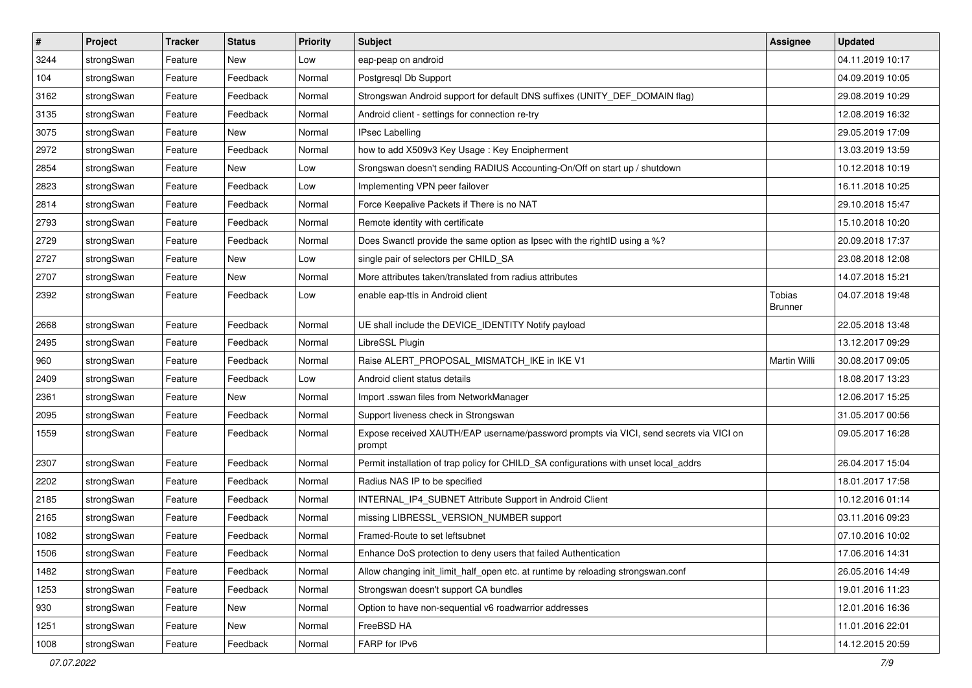| $\pmb{\#}$ | Project    | <b>Tracker</b> | <b>Status</b> | <b>Priority</b> | <b>Subject</b>                                                                                   | <b>Assignee</b>          | <b>Updated</b>   |
|------------|------------|----------------|---------------|-----------------|--------------------------------------------------------------------------------------------------|--------------------------|------------------|
| 3244       | strongSwan | Feature        | New           | Low             | eap-peap on android                                                                              |                          | 04.11.2019 10:17 |
| 104        | strongSwan | Feature        | Feedback      | Normal          | Postgresql Db Support                                                                            |                          | 04.09.2019 10:05 |
| 3162       | strongSwan | Feature        | Feedback      | Normal          | Strongswan Android support for default DNS suffixes (UNITY_DEF_DOMAIN flag)                      |                          | 29.08.2019 10:29 |
| 3135       | strongSwan | Feature        | Feedback      | Normal          | Android client - settings for connection re-try                                                  |                          | 12.08.2019 16:32 |
| 3075       | strongSwan | Feature        | New           | Normal          | <b>IPsec Labelling</b>                                                                           |                          | 29.05.2019 17:09 |
| 2972       | strongSwan | Feature        | Feedback      | Normal          | how to add X509v3 Key Usage: Key Encipherment                                                    |                          | 13.03.2019 13:59 |
| 2854       | strongSwan | Feature        | New           | Low             | Srongswan doesn't sending RADIUS Accounting-On/Off on start up / shutdown                        |                          | 10.12.2018 10:19 |
| 2823       | strongSwan | Feature        | Feedback      | Low             | Implementing VPN peer failover                                                                   |                          | 16.11.2018 10:25 |
| 2814       | strongSwan | Feature        | Feedback      | Normal          | Force Keepalive Packets if There is no NAT                                                       |                          | 29.10.2018 15:47 |
| 2793       | strongSwan | Feature        | Feedback      | Normal          | Remote identity with certificate                                                                 |                          | 15.10.2018 10:20 |
| 2729       | strongSwan | Feature        | Feedback      | Normal          | Does Swanctl provide the same option as Ipsec with the rightID using a %?                        |                          | 20.09.2018 17:37 |
| 2727       | strongSwan | Feature        | New           | Low             | single pair of selectors per CHILD_SA                                                            |                          | 23.08.2018 12:08 |
| 2707       | strongSwan | Feature        | New           | Normal          | More attributes taken/translated from radius attributes                                          |                          | 14.07.2018 15:21 |
| 2392       | strongSwan | Feature        | Feedback      | Low             | enable eap-ttls in Android client                                                                | Tobias<br><b>Brunner</b> | 04.07.2018 19:48 |
| 2668       | strongSwan | Feature        | Feedback      | Normal          | UE shall include the DEVICE_IDENTITY Notify payload                                              |                          | 22.05.2018 13:48 |
| 2495       | strongSwan | Feature        | Feedback      | Normal          | LibreSSL Plugin                                                                                  |                          | 13.12.2017 09:29 |
| 960        | strongSwan | Feature        | Feedback      | Normal          | Raise ALERT_PROPOSAL_MISMATCH_IKE in IKE V1                                                      | Martin Willi             | 30.08.2017 09:05 |
| 2409       | strongSwan | Feature        | Feedback      | Low             | Android client status details                                                                    |                          | 18.08.2017 13:23 |
| 2361       | strongSwan | Feature        | New           | Normal          | Import .sswan files from NetworkManager                                                          |                          | 12.06.2017 15:25 |
| 2095       | strongSwan | Feature        | Feedback      | Normal          | Support liveness check in Strongswan                                                             |                          | 31.05.2017 00:56 |
| 1559       | strongSwan | Feature        | Feedback      | Normal          | Expose received XAUTH/EAP username/password prompts via VICI, send secrets via VICI on<br>prompt |                          | 09.05.2017 16:28 |
| 2307       | strongSwan | Feature        | Feedback      | Normal          | Permit installation of trap policy for CHILD_SA configurations with unset local_addrs            |                          | 26.04.2017 15:04 |
| 2202       | strongSwan | Feature        | Feedback      | Normal          | Radius NAS IP to be specified                                                                    |                          | 18.01.2017 17:58 |
| 2185       | strongSwan | Feature        | Feedback      | Normal          | INTERNAL_IP4_SUBNET Attribute Support in Android Client                                          |                          | 10.12.2016 01:14 |
| 2165       | strongSwan | Feature        | Feedback      | Normal          | missing LIBRESSL_VERSION_NUMBER support                                                          |                          | 03.11.2016 09:23 |
| 1082       | strongSwan | Feature        | Feedback      | Normal          | Framed-Route to set leftsubnet                                                                   |                          | 07.10.2016 10:02 |
| 1506       | strongSwan | Feature        | Feedback      | Normal          | Enhance DoS protection to deny users that failed Authentication                                  |                          | 17.06.2016 14:31 |
| 1482       | strongSwan | Feature        | Feedback      | Normal          | Allow changing init_limit_half_open etc. at runtime by reloading strongswan.conf                 |                          | 26.05.2016 14:49 |
| 1253       | strongSwan | Feature        | Feedback      | Normal          | Strongswan doesn't support CA bundles                                                            |                          | 19.01.2016 11:23 |
| 930        | strongSwan | Feature        | New           | Normal          | Option to have non-sequential v6 roadwarrior addresses                                           |                          | 12.01.2016 16:36 |
| 1251       | strongSwan | Feature        | New           | Normal          | FreeBSD HA                                                                                       |                          | 11.01.2016 22:01 |
| 1008       | strongSwan | Feature        | Feedback      | Normal          | FARP for IPv6                                                                                    |                          | 14.12.2015 20:59 |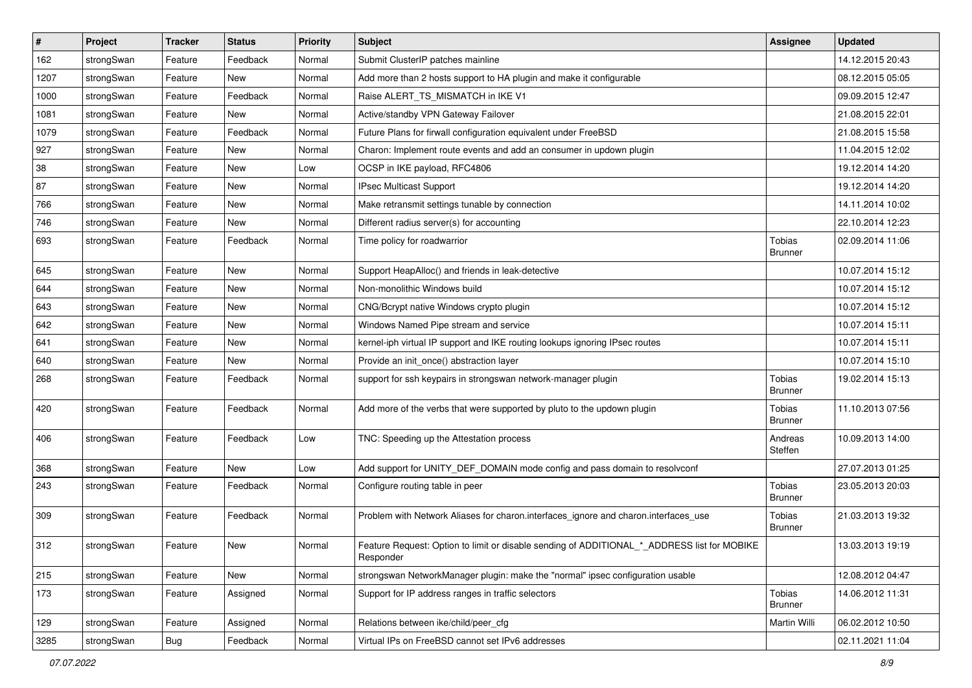| $\vert$ # | Project    | <b>Tracker</b> | <b>Status</b> | Priority | Subject                                                                                                  | <b>Assignee</b>          | <b>Updated</b>   |
|-----------|------------|----------------|---------------|----------|----------------------------------------------------------------------------------------------------------|--------------------------|------------------|
| 162       | strongSwan | Feature        | Feedback      | Normal   | Submit ClusterIP patches mainline                                                                        |                          | 14.12.2015 20:43 |
| 1207      | strongSwan | Feature        | New           | Normal   | Add more than 2 hosts support to HA plugin and make it configurable                                      |                          | 08.12.2015 05:05 |
| 1000      | strongSwan | Feature        | Feedback      | Normal   | Raise ALERT_TS_MISMATCH in IKE V1                                                                        |                          | 09.09.2015 12:47 |
| 1081      | strongSwan | Feature        | New           | Normal   | Active/standby VPN Gateway Failover                                                                      |                          | 21.08.2015 22:01 |
| 1079      | strongSwan | Feature        | Feedback      | Normal   | Future Plans for firwall configuration equivalent under FreeBSD                                          |                          | 21.08.2015 15:58 |
| 927       | strongSwan | Feature        | New           | Normal   | Charon: Implement route events and add an consumer in updown plugin                                      |                          | 11.04.2015 12:02 |
| 38        | strongSwan | Feature        | New           | Low      | OCSP in IKE payload, RFC4806                                                                             |                          | 19.12.2014 14:20 |
| 87        | strongSwan | Feature        | New           | Normal   | <b>IPsec Multicast Support</b>                                                                           |                          | 19.12.2014 14:20 |
| 766       | strongSwan | Feature        | <b>New</b>    | Normal   | Make retransmit settings tunable by connection                                                           |                          | 14.11.2014 10:02 |
| 746       | strongSwan | Feature        | New           | Normal   | Different radius server(s) for accounting                                                                |                          | 22.10.2014 12:23 |
| 693       | strongSwan | Feature        | Feedback      | Normal   | Time policy for roadwarrior                                                                              | Tobias<br><b>Brunner</b> | 02.09.2014 11:06 |
| 645       | strongSwan | Feature        | <b>New</b>    | Normal   | Support HeapAlloc() and friends in leak-detective                                                        |                          | 10.07.2014 15:12 |
| 644       | strongSwan | Feature        | New           | Normal   | Non-monolithic Windows build                                                                             |                          | 10.07.2014 15:12 |
| 643       | strongSwan | Feature        | New           | Normal   | CNG/Bcrypt native Windows crypto plugin                                                                  |                          | 10.07.2014 15:12 |
| 642       | strongSwan | Feature        | New           | Normal   | Windows Named Pipe stream and service                                                                    |                          | 10.07.2014 15:11 |
| 641       | strongSwan | Feature        | <b>New</b>    | Normal   | kernel-iph virtual IP support and IKE routing lookups ignoring IPsec routes                              |                          | 10.07.2014 15:11 |
| 640       | strongSwan | Feature        | New           | Normal   | Provide an init_once() abstraction layer                                                                 |                          | 10.07.2014 15:10 |
| 268       | strongSwan | Feature        | Feedback      | Normal   | support for ssh keypairs in strongswan network-manager plugin                                            | Tobias<br><b>Brunner</b> | 19.02.2014 15:13 |
| 420       | strongSwan | Feature        | Feedback      | Normal   | Add more of the verbs that were supported by pluto to the updown plugin                                  | Tobias<br><b>Brunner</b> | 11.10.2013 07:56 |
| 406       | strongSwan | Feature        | Feedback      | Low      | TNC: Speeding up the Attestation process                                                                 | Andreas<br>Steffen       | 10.09.2013 14:00 |
| 368       | strongSwan | Feature        | New           | Low      | Add support for UNITY_DEF_DOMAIN mode config and pass domain to resolvconf                               |                          | 27.07.2013 01:25 |
| 243       | strongSwan | Feature        | Feedback      | Normal   | Configure routing table in peer                                                                          | Tobias<br><b>Brunner</b> | 23.05.2013 20:03 |
| 309       | strongSwan | Feature        | Feedback      | Normal   | Problem with Network Aliases for charon.interfaces_ignore and charon.interfaces_use                      | Tobias<br><b>Brunner</b> | 21.03.2013 19:32 |
| 312       | strongSwan | Feature        | New           | Normal   | Feature Request: Option to limit or disable sending of ADDITIONAL_*_ADDRESS list for MOBIKE<br>Responder |                          | 13.03.2013 19:19 |
| 215       | strongSwan | Feature        | New           | Normal   | strongswan NetworkManager plugin: make the "normal" ipsec configuration usable                           |                          | 12.08.2012 04:47 |
| 173       | strongSwan | Feature        | Assigned      | Normal   | Support for IP address ranges in traffic selectors                                                       | Tobias<br><b>Brunner</b> | 14.06.2012 11:31 |
| 129       | strongSwan | Feature        | Assigned      | Normal   | Relations between ike/child/peer cfg                                                                     | Martin Willi             | 06.02.2012 10:50 |
| 3285      | strongSwan | <b>Bug</b>     | Feedback      | Normal   | Virtual IPs on FreeBSD cannot set IPv6 addresses                                                         |                          | 02.11.2021 11:04 |